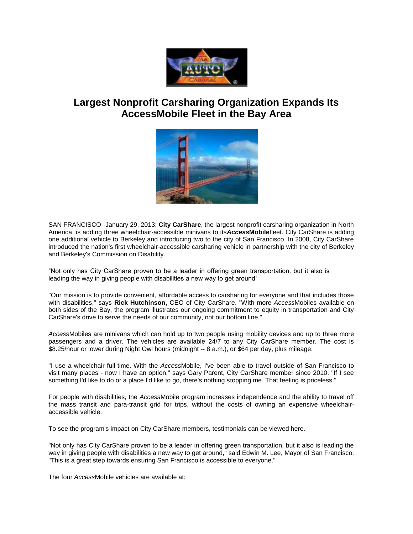

## **Largest Nonprofit Carsharing Organization Expands Its AccessMobile Fleet in the Bay Area**



SAN FRANCISCO--January 29, 2013: **City CarShare**, the largest nonprofit carsharing organization in North America, is adding three wheelchair-accessible minivans to its*Access***Mobile**fleet. City CarShare is adding one additional vehicle to Berkeley and introducing two to the city of San Francisco. In 2008, City CarShare introduced the nation's first wheelchair-accessible carsharing vehicle in partnership with the city of Berkeley and Berkeley's Commission on Disability.

"Not only has City CarShare proven to be a leader in offering green transportation, but it also is leading the way in giving people with disabilities a new way to get around"

"Our mission is to provide convenient, affordable access to carsharing for everyone and that includes those with disabilities," says **Rick Hutchinson,** CEO of City CarShare. "With more *Access*Mobiles available on both sides of the Bay, the program illustrates our ongoing commitment to equity in transportation and City CarShare's drive to serve the needs of our community, not our bottom line."

*Access*Mobiles are minivans which can hold up to two people using mobility devices and up to three more passengers and a driver. The vehicles are available 24/7 to any City CarShare member. The cost is \$8.25/hour or lower during Night Owl hours (midnight -- 8 a.m.), or \$64 per day, plus mileage.

"I use a wheelchair full-time. With the *Access*Mobile, I've been able to travel outside of San Francisco to visit many places - now I have an option," says Gary Parent, City CarShare member since 2010. "If I see something I'd like to do or a place I'd like to go, there's nothing stopping me. That feeling is priceless."

For people with disabilities, the *Access*Mobile program increases independence and the ability to travel off the mass transit and para-transit grid for trips, without the costs of owning an expensive wheelchairaccessible vehicle.

To see the program's impact on City CarShare members, testimonials can be viewed here.

"Not only has City CarShare proven to be a leader in offering green transportation, but it also is leading the way in giving people with disabilities a new way to get around," said Edwin M. Lee, Mayor of San Francisco. "This is a great step towards ensuring San Francisco is accessible to everyone."

The four *Access*Mobile vehicles are available at: